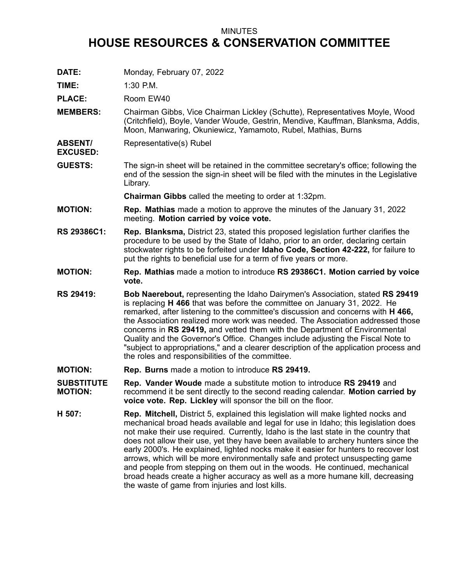## MINUTES **HOUSE RESOURCES & CONSERVATION COMMITTEE**

**DATE:** Monday, February 07, 2022

**TIME:** 1:30 P.M.

**EXCUSED:**

PLACE: Room EW40

- **MEMBERS:** Chairman Gibbs, Vice Chairman Lickley (Schutte), Representatives Moyle, Wood (Critchfield), Boyle, Vander Woude, Gestrin, Mendive, Kauffman, Blanksma, Addis, Moon, Manwaring, Okuniewicz, Yamamoto, Rubel, Mathias, Burns
- **ABSENT/** Representative(s) Rubel
- **GUESTS:** The sign-in sheet will be retained in the committee secretary's office; following the end of the session the sign-in sheet will be filed with the minutes in the Legislative Library.

**Chairman Gibbs** called the meeting to order at 1:32pm.

- **MOTION: Rep. Mathias** made <sup>a</sup> motion to approve the minutes of the January 31, 2022 meeting. **Motion carried by voice vote.**
- **RS 29386C1: Rep. Blanksma,** District 23, stated this proposed legislation further clarifies the procedure to be used by the State of Idaho, prior to an order, declaring certain stockwater rights to be forfeited under **Idaho Code, Section 42-222,** for failure to put the rights to beneficial use for <sup>a</sup> term of five years or more.
- **MOTION: Rep. Mathias** made <sup>a</sup> motion to introduce **RS 29386C1. Motion carried by voice vote.**
- **RS 29419: Bob Naerebout,** representing the Idaho Dairymen's Association, stated **RS 29419** is replacing **H 466** that was before the committee on January 31, 2022. He remarked, after listening to the committee's discussion and concerns with **H 466,** the Association realized more work was needed. The Association addressed those concerns in **RS 29419,** and vetted them with the Department of Environmental Quality and the Governor's Office. Changes include adjusting the Fiscal Note to "subject to appropriations," and <sup>a</sup> clearer description of the application process and the roles and responsibilities of the committee.
- **MOTION: Rep. Burns** made <sup>a</sup> motion to introduce **RS 29419.**
- **SUBSTITUTE MOTION: Rep. Vander Woude** made <sup>a</sup> substitute motion to introduce **RS 29419** and recommend it be sent directly to the second reading calendar. **Motion carried by voice vote. Rep. Lickley** will sponsor the bill on the floor.
- **H 507: Rep. Mitchell,** District 5, explained this legislation will make lighted nocks and mechanical broad heads available and legal for use in Idaho; this legislation does not make their use required. Currently, Idaho is the last state in the country that does not allow their use, yet they have been available to archery hunters since the early 2000's. He explained, lighted nocks make it easier for hunters to recover lost arrows, which will be more environmentally safe and protect unsuspecting game and people from stepping on them out in the woods. He continued, mechanical broad heads create <sup>a</sup> higher accuracy as well as <sup>a</sup> more humane kill, decreasing the waste of game from injuries and lost kills.